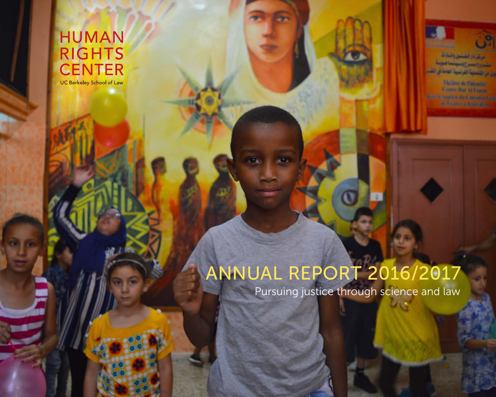## **HUMAN RIGHTS CENTER** UC Berkeley School of Law



وبربل التسمية المرسوبة الماسة في الشب

The investor Thierand Centers That All I more. **SING By HIRMAN RAY AND MAY 1989** 

ANNUAL REPORT 2016/2017

Pursuing justice through science and law